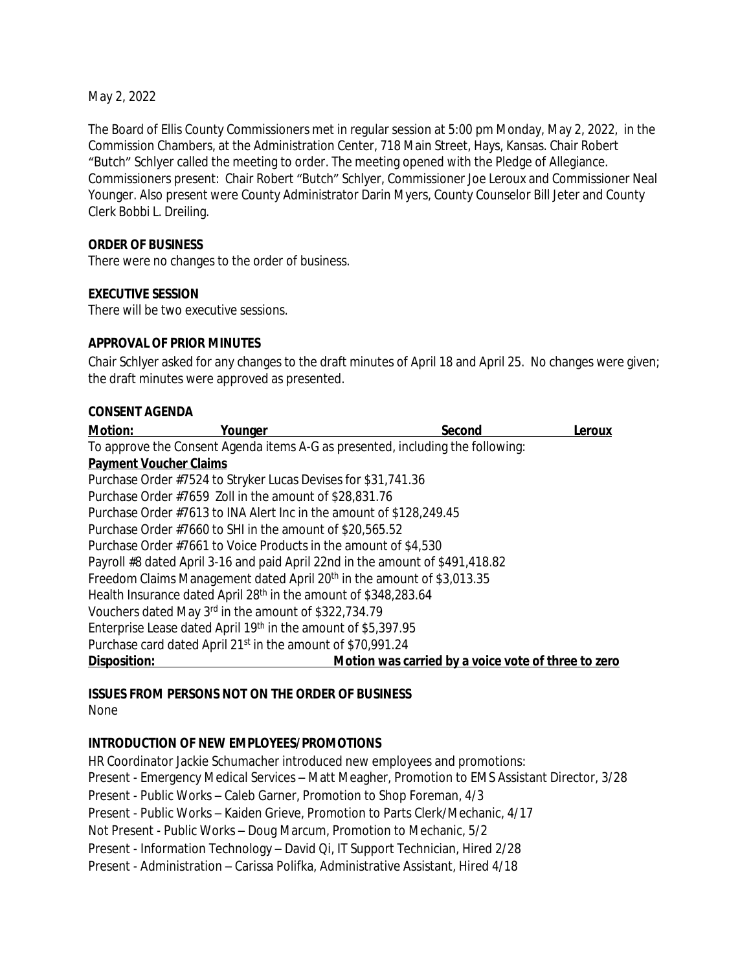May 2, 2022

The Board of Ellis County Commissioners met in regular session at 5:00 pm Monday, May 2, 2022, in the Commission Chambers, at the Administration Center, 718 Main Street, Hays, Kansas. Chair Robert "Butch" Schlyer called the meeting to order. The meeting opened with the Pledge of Allegiance. Commissioners present: Chair Robert "Butch" Schlyer, Commissioner Joe Leroux and Commissioner Neal Younger. Also present were County Administrator Darin Myers, County Counselor Bill Jeter and County Clerk Bobbi L. Dreiling.

#### **ORDER OF BUSINESS**

There were no changes to the order of business.

#### **EXECUTIVE SESSION**

There will be two executive sessions.

#### **APPROVAL OF PRIOR MINUTES**

Chair Schlyer asked for any changes to the draft minutes of April 18 and April 25. No changes were given; the draft minutes were approved as presented.

#### **CONSENT AGENDA**

| <b>Motion:</b>                | Younger                                                             | Second                                                                             | Leroux |
|-------------------------------|---------------------------------------------------------------------|------------------------------------------------------------------------------------|--------|
|                               |                                                                     | To approve the Consent Agenda items A-G as presented, including the following:     |        |
| <b>Payment Voucher Claims</b> |                                                                     |                                                                                    |        |
|                               | Purchase Order #7524 to Stryker Lucas Devises for \$31,741.36       |                                                                                    |        |
|                               | Purchase Order #7659 Zoll in the amount of \$28,831.76              |                                                                                    |        |
|                               | Purchase Order #7613 to INA Alert Inc in the amount of \$128,249.45 |                                                                                    |        |
|                               | Purchase Order #7660 to SHI in the amount of \$20,565.52            |                                                                                    |        |
|                               | Purchase Order #7661 to Voice Products in the amount of \$4,530     |                                                                                    |        |
|                               |                                                                     | Payroll #8 dated April 3-16 and paid April 22nd in the amount of \$491,418.82      |        |
|                               |                                                                     | Freedom Claims Management dated April 20 <sup>th</sup> in the amount of \$3,013.35 |        |
|                               | Health Insurance dated April 28th in the amount of \$348,283.64     |                                                                                    |        |
|                               | Vouchers dated May 3rd in the amount of \$322,734.79                |                                                                                    |        |
|                               | Enterprise Lease dated April 19th in the amount of \$5,397.95       |                                                                                    |        |
|                               | Purchase card dated April 21st in the amount of \$70,991.24         |                                                                                    |        |
| Disposition:                  |                                                                     | Motion was carried by a voice vote of three to zero                                |        |

# **ISSUES FROM PERSONS NOT ON THE ORDER OF BUSINESS**

None

# **INTRODUCTION OF NEW EMPLOYEES/PROMOTIONS**

HR Coordinator Jackie Schumacher introduced new employees and promotions: Present - Emergency Medical Services – Matt Meagher, Promotion to EMS Assistant Director, 3/28 Present - Public Works – Caleb Garner, Promotion to Shop Foreman, 4/3 Present - Public Works – Kaiden Grieve, Promotion to Parts Clerk/Mechanic, 4/17 Not Present - Public Works – Doug Marcum, Promotion to Mechanic, 5/2 Present - Information Technology – David Qi, IT Support Technician, Hired 2/28 Present - Administration – Carissa Polifka, Administrative Assistant, Hired 4/18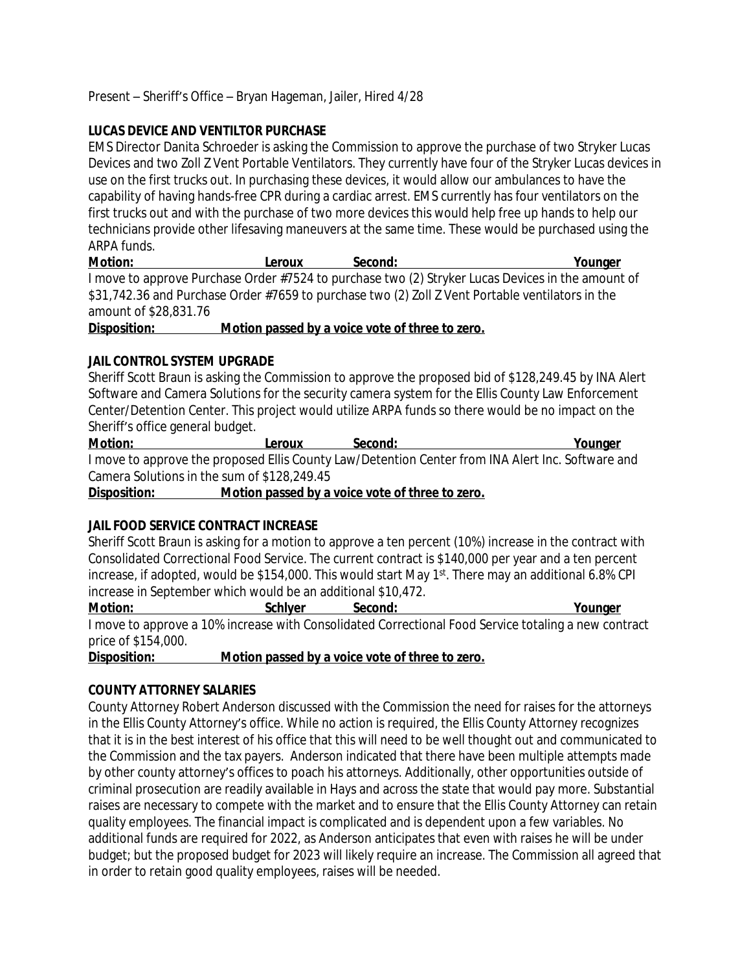Present – Sheriff's Office – Bryan Hageman, Jailer, Hired 4/28

#### **LUCAS DEVICE AND VENTILTOR PURCHASE**

EMS Director Danita Schroeder is asking the Commission to approve the purchase of two Stryker Lucas Devices and two Zoll Z Vent Portable Ventilators. They currently have four of the Stryker Lucas devices in use on the first trucks out. In purchasing these devices, it would allow our ambulances to have the capability of having hands-free CPR during a cardiac arrest. EMS currently has four ventilators on the first trucks out and with the purchase of two more devices this would help free up hands to help our technicians provide other lifesaving maneuvers at the same time. These would be purchased using the ARPA funds.

| Motion:               | Leroux | Second: | Younger                                                                                           |
|-----------------------|--------|---------|---------------------------------------------------------------------------------------------------|
|                       |        |         | I move to approve Purchase Order #7524 to purchase two (2) Stryker Lucas Devices in the amount of |
|                       |        |         | \$31,742.36 and Purchase Order #7659 to purchase two (2) Zoll Z Vent Portable ventilators in the  |
| amount of \$28,831.76 |        |         |                                                                                                   |
| --                    |        |         |                                                                                                   |

**Disposition: Motion passed by a voice vote of three to zero.**

#### **JAIL CONTROL SYSTEM UPGRADE**

Sheriff Scott Braun is asking the Commission to approve the proposed bid of \$128,249.45 by INA Alert Software and Camera Solutions for the security camera system for the Ellis County Law Enforcement Center/Detention Center. This project would utilize ARPA funds so there would be no impact on the Sheriff's office general budget.

**Motion: Leroux Second: Younger** I move to approve the proposed Ellis County Law/Detention Center from INA Alert Inc. Software and Camera Solutions in the sum of \$128,249.45

**Disposition: Motion passed by a voice vote of three to zero.**

# **JAIL FOOD SERVICE CONTRACT INCREASE**

Sheriff Scott Braun is asking for a motion to approve a ten percent (10%) increase in the contract with Consolidated Correctional Food Service. The current contract is \$140,000 per year and a ten percent increase, if adopted, would be \$154,000. This would start May 1st. There may an additional 6.8% CPI increase in September which would be an additional \$10,472.

**Motion: Schlyer Second: Younger** I move to approve a 10% increase with Consolidated Correctional Food Service totaling a new contract price of \$154,000.

**Disposition: Motion passed by a voice vote of three to zero.**

#### **COUNTY ATTORNEY SALARIES**

County Attorney Robert Anderson discussed with the Commission the need for raises for the attorneys in the Ellis County Attorney's office. While no action is required, the Ellis County Attorney recognizes that it is in the best interest of his office that this will need to be well thought out and communicated to the Commission and the tax payers. Anderson indicated that there have been multiple attempts made by other county attorney's offices to poach his attorneys. Additionally, other opportunities outside of criminal prosecution are readily available in Hays and across the state that would pay more. Substantial raises are necessary to compete with the market and to ensure that the Ellis County Attorney can retain quality employees. The financial impact is complicated and is dependent upon a few variables. No additional funds are required for 2022, as Anderson anticipates that even with raises he will be under budget; but the proposed budget for 2023 will likely require an increase. The Commission all agreed that in order to retain good quality employees, raises will be needed.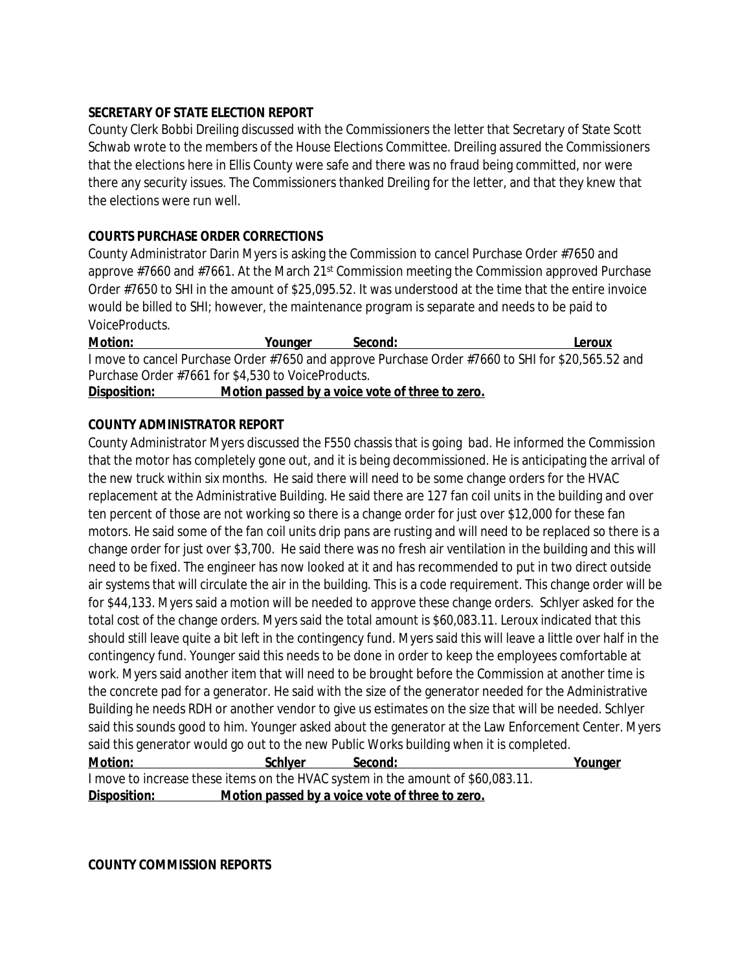#### **SECRETARY OF STATE ELECTION REPORT**

County Clerk Bobbi Dreiling discussed with the Commissioners the letter that Secretary of State Scott Schwab wrote to the members of the House Elections Committee. Dreiling assured the Commissioners that the elections here in Ellis County were safe and there was no fraud being committed, nor were there any security issues. The Commissioners thanked Dreiling for the letter, and that they knew that the elections were run well.

#### **COURTS PURCHASE ORDER CORRECTIONS**

County Administrator Darin Myers is asking the Commission to cancel Purchase Order #7650 and approve #7660 and #7661. At the March 21<sup>st</sup> Commission meeting the Commission approved Purchase Order #7650 to SHI in the amount of \$25,095.52. It was understood at the time that the entire invoice would be billed to SHI; however, the maintenance program is separate and needs to be paid to VoiceProducts.

**Motion: Younger Second: Leroux** I move to cancel Purchase Order #7650 and approve Purchase Order #7660 to SHI for \$20,565.52 and Purchase Order #7661 for \$4,530 to VoiceProducts. **Disposition: Motion passed by a voice vote of three to zero.**

#### **COUNTY ADMINISTRATOR REPORT**

County Administrator Myers discussed the F550 chassis that is going bad. He informed the Commission that the motor has completely gone out, and it is being decommissioned. He is anticipating the arrival of the new truck within six months. He said there will need to be some change orders for the HVAC replacement at the Administrative Building. He said there are 127 fan coil units in the building and over ten percent of those are not working so there is a change order for just over \$12,000 for these fan motors. He said some of the fan coil units drip pans are rusting and will need to be replaced so there is a change order for just over \$3,700. He said there was no fresh air ventilation in the building and this will need to be fixed. The engineer has now looked at it and has recommended to put in two direct outside air systems that will circulate the air in the building. This is a code requirement. This change order will be for \$44,133. Myers said a motion will be needed to approve these change orders. Schlyer asked for the total cost of the change orders. Myers said the total amount is \$60,083.11. Leroux indicated that this should still leave quite a bit left in the contingency fund. Myers said this will leave a little over half in the contingency fund. Younger said this needs to be done in order to keep the employees comfortable at work. Myers said another item that will need to be brought before the Commission at another time is the concrete pad for a generator. He said with the size of the generator needed for the Administrative Building he needs RDH or another vendor to give us estimates on the size that will be needed. Schlyer said this sounds good to him. Younger asked about the generator at the Law Enforcement Center. Myers said this generator would go out to the new Public Works building when it is completed. **Motion: Schlyer Second: Younger** I move to increase these items on the HVAC system in the amount of \$60,083.11. **Disposition: Motion passed by a voice vote of three to zero.**

**COUNTY COMMISSION REPORTS**